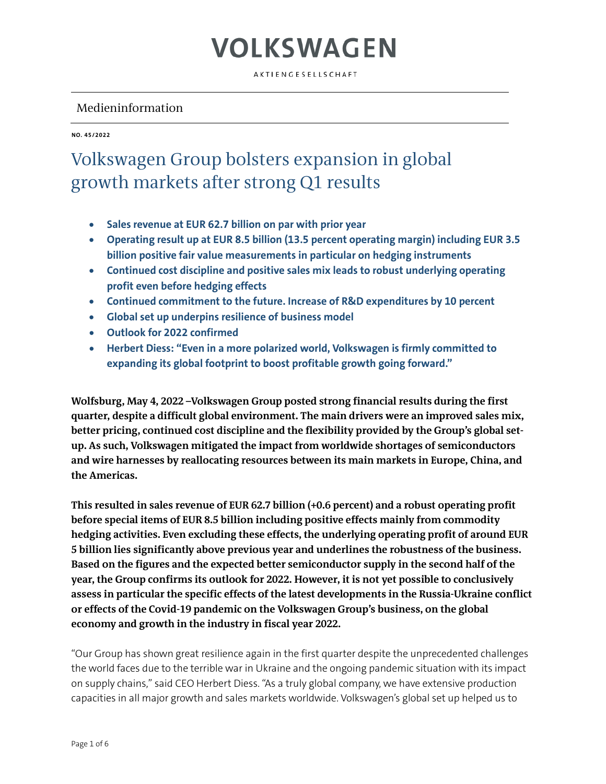AKTIENGESELLSCHAFT

### Medieninformation

**NO. 45/2022**

### Volkswagen Group bolsters expansion in global growth markets after strong Q1 results

- **Sales revenue at EUR 62.7 billion on par with prior year**
- **Operating result up at EUR 8.5 billion (13.5 percent operating margin) including EUR 3.5 billion positive fair value measurements in particular on hedging instruments**
- **Continued cost discipline and positive sales mix leads to robust underlying operating profit even before hedging effects**
- **Continued commitment to the future. Increase of R&D expenditures by 10 percent**
- **Global set up underpins resilience of business model**
- **Outlook for 2022 confirmed**
- **Herbert Diess: "Even in a more polarized world, Volkswagen is firmly committed to expanding its global footprint to boost profitable growth going forward."**

**Wolfsburg, May 4, 2022 –Volkswagen Group posted strong financial results during the first quarter, despite a difficult global environment. The main drivers were an improved sales mix, better pricing, continued cost discipline and the flexibility provided by the Group's global setup. As such, Volkswagen mitigated the impact from worldwide shortages of semiconductors and wire harnesses by reallocating resources between its main markets in Europe, China, and the Americas.** 

**This resulted in sales revenue of EUR 62.7 billion (+0.6 percent) and a robust operating profit before special items of EUR 8.5 billion including positive effects mainly from commodity hedging activities. Even excluding these effects, the underlying operating profit of around EUR 5 billion lies significantly above previous year and underlines the robustness of the business. Based on the figures and the expected better semiconductor supply in the second half of the year, the Group confirms its outlook for 2022. However, it is not yet possible to conclusively assess in particular the specific effects of the latest developments in the Russia-Ukraine conflict or effects of the Covid-19 pandemic on the Volkswagen Group's business, on the global economy and growth in the industry in fiscal year 2022.**

"Our Group has shown great resilience again in the first quarter despite the unprecedented challenges the world faces due to the terrible war in Ukraine and the ongoing pandemic situation with its impact on supply chains," said CEO Herbert Diess. "As a truly global company, we have extensive production capacities in all major growth and sales markets worldwide. Volkswagen's global set up helped us to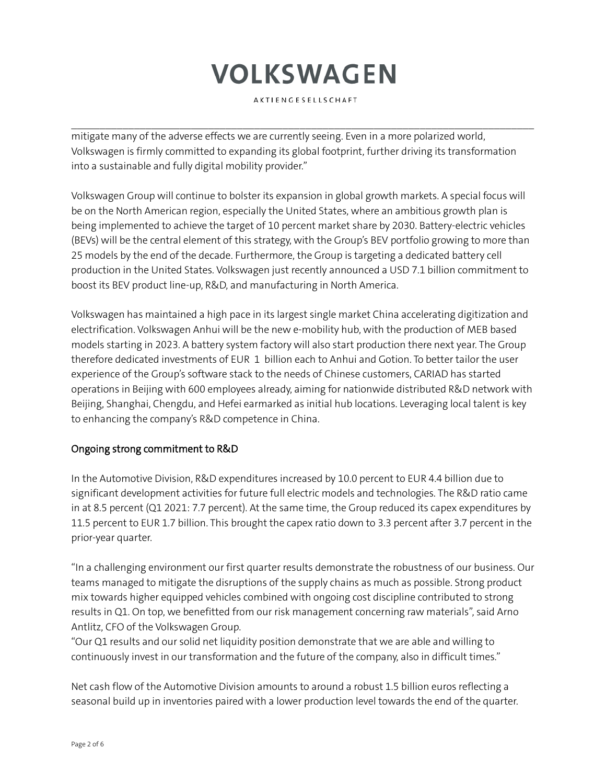AKTIENGESELLSCHAFT

 $\mathcal{L}_\mathcal{L} = \{ \mathcal{L}_\mathcal{L} = \{ \mathcal{L}_\mathcal{L} = \{ \mathcal{L}_\mathcal{L} = \{ \mathcal{L}_\mathcal{L} = \{ \mathcal{L}_\mathcal{L} = \{ \mathcal{L}_\mathcal{L} = \{ \mathcal{L}_\mathcal{L} = \{ \mathcal{L}_\mathcal{L} = \{ \mathcal{L}_\mathcal{L} = \{ \mathcal{L}_\mathcal{L} = \{ \mathcal{L}_\mathcal{L} = \{ \mathcal{L}_\mathcal{L} = \{ \mathcal{L}_\mathcal{L} = \{ \mathcal{L}_\mathcal{$ 

mitigate many of the adverse effects we are currently seeing. Even in a more polarized world, Volkswagen is firmly committed to expanding its global footprint, further driving its transformation into a sustainable and fully digital mobility provider."

Volkswagen Group will continue to bolster its expansion in global growth markets. A special focus will be on the North American region, especially the United States, where an ambitious growth plan is being implemented to achieve the target of 10 percent market share by 2030. Battery-electric vehicles (BEVs) will be the central element of this strategy, with the Group's BEV portfolio growing to more than 25 models by the end of the decade. Furthermore, the Group is targeting a dedicated battery cell production in the United States. Volkswagen just recently announced a USD 7.1 billion commitment to boost its BEV product line-up, R&D, and manufacturing in North America.

Volkswagen has maintained a high pace in its largest single market China accelerating digitization and electrification. Volkswagen Anhui will be the new e-mobility hub, with the production of MEB based models starting in 2023. A battery system factory will also start production there next year. The Group therefore dedicated investments of EUR 1 billion each to Anhui and Gotion. To better tailor the user experience of the Group's software stack to the needs of Chinese customers, CARIAD has started operations in Beijing with 600 employees already, aiming for nationwide distributed R&D network with Beijing, Shanghai, Chengdu, and Hefei earmarked as initial hub locations. Leveraging local talent is key to enhancing the company's R&D competence in China.

### Ongoing strong commitment to R&D

In the Automotive Division, R&D expenditures increased by 10.0 percent to EUR 4.4 billion due to significant development activities for future full electric models and technologies. The R&D ratio came in at 8.5 percent (Q1 2021: 7.7 percent). At the same time, the Group reduced its capex expenditures by 11.5 percent to EUR 1.7 billion. This brought the capex ratio down to 3.3 percent after 3.7 percent in the prior-year quarter.

"In a challenging environment our first quarter results demonstrate the robustness of our business. Our teams managed to mitigate the disruptions of the supply chains as much as possible. Strong product mix towards higher equipped vehicles combined with ongoing cost discipline contributed to strong results in Q1. On top, we benefitted from our risk management concerning raw materials", said Arno Antlitz, CFO of the Volkswagen Group.

"Our Q1 results and our solid net liquidity position demonstrate that we are able and willing to continuously invest in our transformation and the future of the company, also in difficult times."

Net cash flow of the Automotive Division amounts to around a robust 1.5 billion euros reflecting a seasonal build up in inventories paired with a lower production level towards the end of the quarter.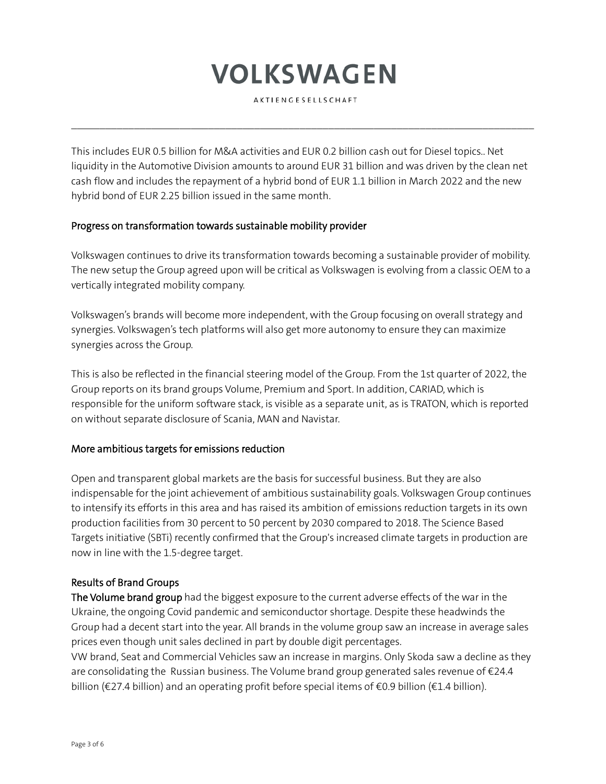AKTIENGESELLSCHAFT

 $\mathcal{L}_\mathcal{L} = \{ \mathcal{L}_\mathcal{L} = \{ \mathcal{L}_\mathcal{L} = \{ \mathcal{L}_\mathcal{L} = \{ \mathcal{L}_\mathcal{L} = \{ \mathcal{L}_\mathcal{L} = \{ \mathcal{L}_\mathcal{L} = \{ \mathcal{L}_\mathcal{L} = \{ \mathcal{L}_\mathcal{L} = \{ \mathcal{L}_\mathcal{L} = \{ \mathcal{L}_\mathcal{L} = \{ \mathcal{L}_\mathcal{L} = \{ \mathcal{L}_\mathcal{L} = \{ \mathcal{L}_\mathcal{L} = \{ \mathcal{L}_\mathcal{$ 

This includes EUR 0.5 billion for M&A activities and EUR 0.2 billion cash out for Diesel topics.. Net liquidity in the Automotive Division amounts to around EUR 31 billion and was driven by the clean net cash flow and includes the repayment of a hybrid bond of EUR 1.1 billion in March 2022 and the new hybrid bond of EUR 2.25 billion issued in the same month.

### Progress on transformation towards sustainable mobility provider

Volkswagen continues to drive its transformation towards becoming a sustainable provider of mobility. The new setup the Group agreed upon will be critical as Volkswagen is evolving from a classic OEM to a vertically integrated mobility company.

Volkswagen's brands will become more independent, with the Group focusing on overall strategy and synergies. Volkswagen's tech platforms will also get more autonomy to ensure they can maximize synergies across the Group.

This is also be reflected in the financial steering model of the Group. From the 1st quarter of 2022, the Group reports on its brand groups Volume, Premium and Sport. In addition, CARIAD, which is responsible for the uniform software stack, is visible as a separate unit, as is TRATON, which is reported on without separate disclosure of Scania, MAN and Navistar.

### More ambitious targets for emissions reduction

Open and transparent global markets are the basis for successful business. But they are also indispensable for the joint achievement of ambitious sustainability goals. Volkswagen Group continues to intensify its efforts in this area and has raised its ambition of emissions reduction targets in its own production facilities from 30 percent to 50 percent by 2030 compared to 2018. The Science Based Targets initiative (SBTi) recently confirmed that the Group's increased climate targets in production are now in line with the 1.5-degree target.

### Results of Brand Groups

The Volume brand group had the biggest exposure to the current adverse effects of the war in the Ukraine, the ongoing Covid pandemic and semiconductor shortage. Despite these headwinds the Group had a decent start into the year. All brands in the volume group saw an increase in average sales prices even though unit sales declined in part by double digit percentages.

VW brand, Seat and Commercial Vehicles saw an increase in margins. Only Skoda saw a decline as they are consolidating the Russian business. The Volume brand group generated sales revenue of  $\epsilon$ 24.4 billion ( $\epsilon$ 27.4 billion) and an operating profit before special items of  $\epsilon$ 0.9 billion ( $\epsilon$ 1.4 billion).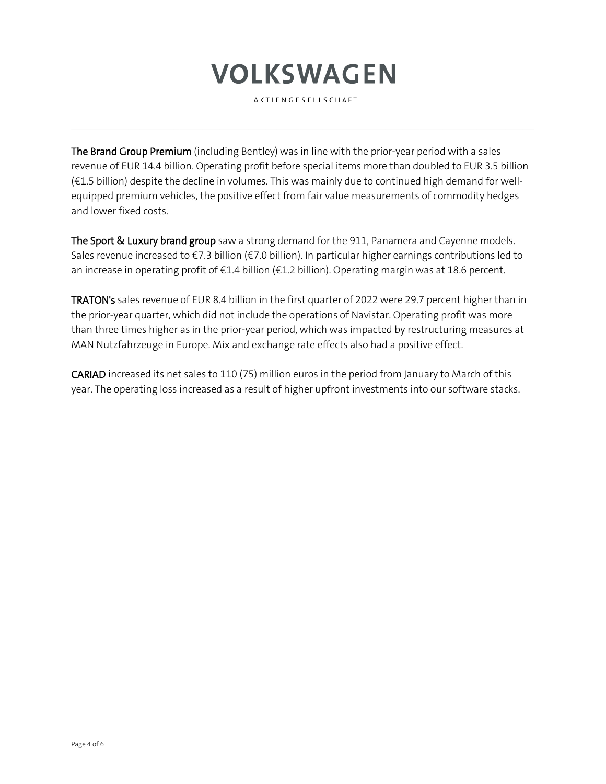AKTIENGESELLSCHAFT

 $\mathcal{L}_\mathcal{L} = \{ \mathcal{L}_\mathcal{L} = \{ \mathcal{L}_\mathcal{L} = \{ \mathcal{L}_\mathcal{L} = \{ \mathcal{L}_\mathcal{L} = \{ \mathcal{L}_\mathcal{L} = \{ \mathcal{L}_\mathcal{L} = \{ \mathcal{L}_\mathcal{L} = \{ \mathcal{L}_\mathcal{L} = \{ \mathcal{L}_\mathcal{L} = \{ \mathcal{L}_\mathcal{L} = \{ \mathcal{L}_\mathcal{L} = \{ \mathcal{L}_\mathcal{L} = \{ \mathcal{L}_\mathcal{L} = \{ \mathcal{L}_\mathcal{$ 

The Brand Group Premium (including Bentley) was in line with the prior-year period with a sales revenue of EUR 14.4 billion. Operating profit before special items more than doubled to EUR 3.5 billion (€1.5 billion) despite the decline in volumes. This was mainly due to continued high demand for wellequipped premium vehicles, the positive effect from fair value measurements of commodity hedges and lower fixed costs.

The Sport & Luxury brand group saw a strong demand for the 911, Panamera and Cayenne models. Sales revenue increased to €7.3 billion (€7.0 billion). In particular higher earnings contributions led to an increase in operating profit of €1.4 billion (€1.2 billion). Operating margin was at 18.6 percent.

TRATON's sales revenue of EUR 8.4 billion in the first quarter of 2022 were 29.7 percent higher than in the prior-year quarter, which did not include the operations of Navistar. Operating profit was more than three times higher as in the prior-year period, which was impacted by restructuring measures at MAN Nutzfahrzeuge in Europe. Mix and exchange rate effects also had a positive effect.

CARIAD increased its net sales to 110 (75) million euros in the period from January to March of this year. The operating loss increased as a result of higher upfront investments into our software stacks.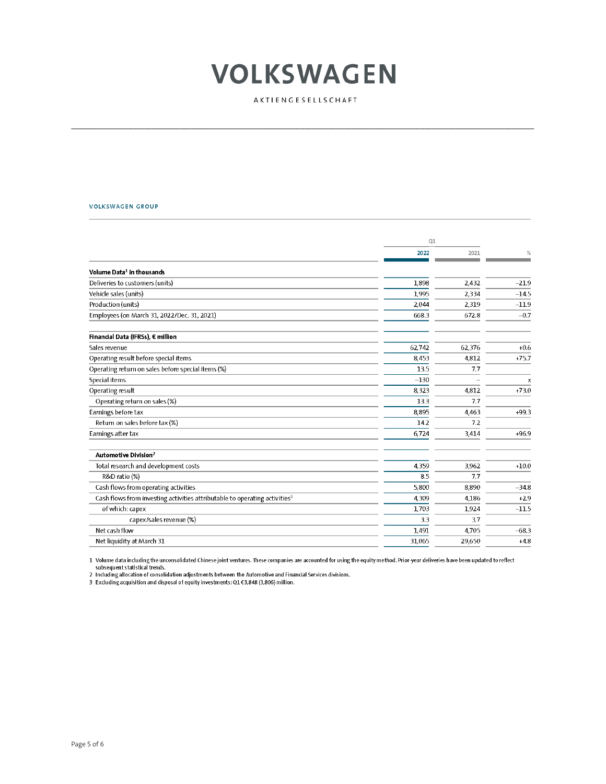AKTIENGESELLSCHAFT

#### VOLKSWAGEN GROUP

|                                                                                        | Q1     |        |              |
|----------------------------------------------------------------------------------------|--------|--------|--------------|
|                                                                                        | 2022   | 2021   | %            |
| Volume Data <sup>1</sup> in thousands                                                  |        |        |              |
| Deliveries to customers (units)                                                        | 1,898  | 2,432  | $-21.9$      |
| Vehicle sales (units)                                                                  | 1,995  | 2,334  | $-14.5$      |
| Production (units)                                                                     | 2,044  | 2,319  | $-11.9$      |
| Employees (on March 31, 2022/Dec. 31, 2021)                                            | 668.3  | 672.8  | $-0.7$       |
| Financial Data (IFRSs), € million                                                      |        |        |              |
| Sales revenue                                                                          | 62,742 | 62,376 | $+0.6$       |
| Operating result before special items                                                  | 8.453  | 4.812  | $+75.7$      |
| Operating return on sales before special items (%)                                     | 13.5   | 7.7    |              |
| Special items                                                                          | $-130$ |        | $\mathsf{x}$ |
| Operating result                                                                       | 8,323  | 4,812  | $+73.0$      |
| Operating return on sales (%)                                                          | 13.3   | 7.7    |              |
| Earnings before tax                                                                    | 8,895  | 4.463  | $+99.3$      |
| Return on sales before tax (%)                                                         | 14.2   | 7.2    |              |
| Earnings after tax                                                                     | 6,724  | 3,414  | $+96.9$      |
| Automotive Division <sup>2</sup>                                                       |        |        |              |
| Total research and development costs                                                   | 4,359  | 3,962  | $+10.0$      |
| R&D ratio (%)                                                                          | 8.5    | 7.7    |              |
| Cash flows from operating activities                                                   | 5,800  | 8,890  | $-34.8$      |
| Cash flows from investing activities attributable to operating activities <sup>3</sup> | 4,309  | 4,186  | $+2.9$       |
| of which: capex                                                                        | 1,703  | 1,924  | $-11.5$      |
| capex/sales revenue (%)                                                                | 3.3    | 3.7    |              |
| Net cash flow                                                                          | 1,491  | 4,705  | $-68.3$      |
| Net liquidity at March 31                                                              | 31,065 | 29.650 | $+4.8$       |

1 Volume data including the unconsolidated Chinese joint ventures. These companies are accounted for using the equity method. Prior-year deliveries have been updated to reflect The subsequent statistical trends.<br>
2 Including allocation of consolidation adjustments between the Automotive and Financial Services divisions.<br>
3 Excluding acquisition and disposal of equity investments: 01€3,848 (3,806